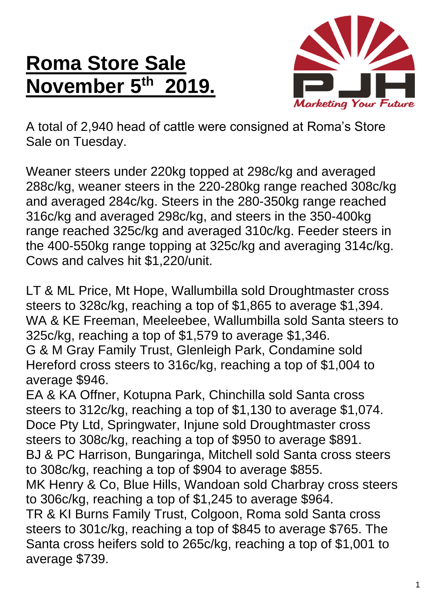## **Roma Store Sale November 5 th 2019.**



A total of 2,940 head of cattle were consigned at Roma's Store Sale on Tuesday.

Weaner steers under 220kg topped at 298c/kg and averaged 288c/kg, weaner steers in the 220-280kg range reached 308c/kg and averaged 284c/kg. Steers in the 280-350kg range reached 316c/kg and averaged 298c/kg, and steers in the 350-400kg range reached 325c/kg and averaged 310c/kg. Feeder steers in the 400-550kg range topping at 325c/kg and averaging 314c/kg. Cows and calves hit \$1,220/unit.

LT & ML Price, Mt Hope, Wallumbilla sold Droughtmaster cross steers to 328c/kg, reaching a top of \$1,865 to average \$1,394. WA & KE Freeman, Meeleebee, Wallumbilla sold Santa steers to 325c/kg, reaching a top of \$1,579 to average \$1,346. G & M Gray Family Trust, Glenleigh Park, Condamine sold Hereford cross steers to 316c/kg, reaching a top of \$1,004 to average \$946.

EA & KA Offner, Kotupna Park, Chinchilla sold Santa cross steers to 312c/kg, reaching a top of \$1,130 to average \$1,074. Doce Pty Ltd, Springwater, Injune sold Droughtmaster cross steers to 308c/kg, reaching a top of \$950 to average \$891. BJ & PC Harrison, Bungaringa, Mitchell sold Santa cross steers to 308c/kg, reaching a top of \$904 to average \$855. MK Henry & Co, Blue Hills, Wandoan sold Charbray cross steers to 306c/kg, reaching a top of \$1,245 to average \$964. TR & KI Burns Family Trust, Colgoon, Roma sold Santa cross steers to 301c/kg, reaching a top of \$845 to average \$765. The Santa cross heifers sold to 265c/kg, reaching a top of \$1,001 to average \$739.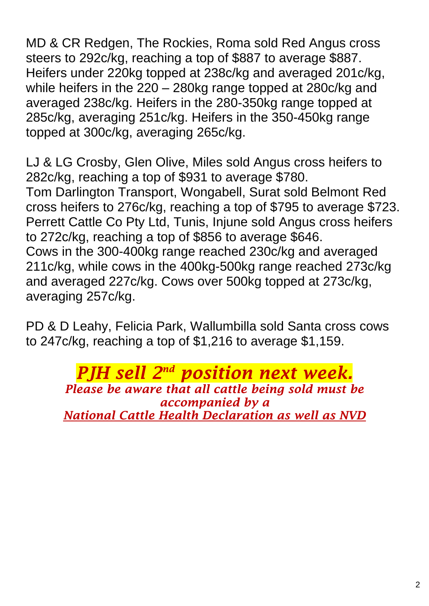MD & CR Redgen, The Rockies, Roma sold Red Angus cross steers to 292c/kg, reaching a top of \$887 to average \$887. Heifers under 220kg topped at 238c/kg and averaged 201c/kg, while heifers in the 220 – 280kg range topped at 280c/kg and averaged 238c/kg. Heifers in the 280-350kg range topped at 285c/kg, averaging 251c/kg. Heifers in the 350-450kg range topped at 300c/kg, averaging 265c/kg.

LJ & LG Crosby, Glen Olive, Miles sold Angus cross heifers to 282c/kg, reaching a top of \$931 to average \$780. Tom Darlington Transport, Wongabell, Surat sold Belmont Red cross heifers to 276c/kg, reaching a top of \$795 to average \$723. Perrett Cattle Co Pty Ltd, Tunis, Injune sold Angus cross heifers to 272c/kg, reaching a top of \$856 to average \$646. Cows in the 300-400kg range reached 230c/kg and averaged 211c/kg, while cows in the 400kg-500kg range reached 273c/kg and averaged 227c/kg. Cows over 500kg topped at 273c/kg, averaging 257c/kg.

PD & D Leahy, Felicia Park, Wallumbilla sold Santa cross cows to 247c/kg, reaching a top of \$1,216 to average \$1,159.

> *PJH sell 2 nd position next week. Please be aware that all cattle being sold must be accompanied by a National Cattle Health Declaration as well as NVD*